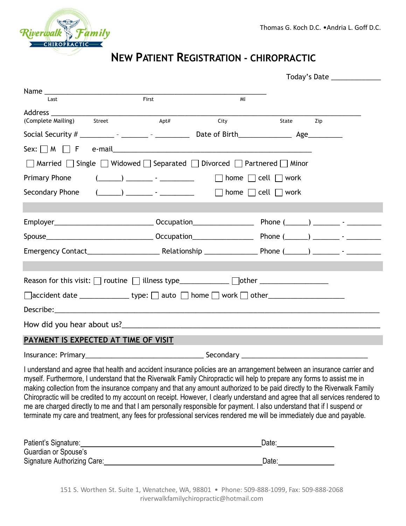

# **NEW PATIENT REGISTRATION - CHIROPRACTIC**

| Last                                                                                                                                                                                                                                                                                                                                                                                                                                                                                                                                                                                                                                                                                                                                                            | First                                                                                                                                                                                                                                                                                                               | MI   |                                     |  |
|-----------------------------------------------------------------------------------------------------------------------------------------------------------------------------------------------------------------------------------------------------------------------------------------------------------------------------------------------------------------------------------------------------------------------------------------------------------------------------------------------------------------------------------------------------------------------------------------------------------------------------------------------------------------------------------------------------------------------------------------------------------------|---------------------------------------------------------------------------------------------------------------------------------------------------------------------------------------------------------------------------------------------------------------------------------------------------------------------|------|-------------------------------------|--|
|                                                                                                                                                                                                                                                                                                                                                                                                                                                                                                                                                                                                                                                                                                                                                                 |                                                                                                                                                                                                                                                                                                                     |      |                                     |  |
| (Complete Mailing) Street                                                                                                                                                                                                                                                                                                                                                                                                                                                                                                                                                                                                                                                                                                                                       | Apt#                                                                                                                                                                                                                                                                                                                | City | State<br>Zip                        |  |
|                                                                                                                                                                                                                                                                                                                                                                                                                                                                                                                                                                                                                                                                                                                                                                 |                                                                                                                                                                                                                                                                                                                     |      |                                     |  |
| Sex: $\bigcap M$ $\bigcap$ F e-mail example and example and example and example and example and example and example and example and example and example and example and example and example and example and example and example and ex                                                                                                                                                                                                                                                                                                                                                                                                                                                                                                                          |                                                                                                                                                                                                                                                                                                                     |      |                                     |  |
| $\Box$ Married $\Box$ Single $\Box$ Widowed $\Box$ Separated $\Box$ Divorced $\Box$ Partnered $\Box$ Minor                                                                                                                                                                                                                                                                                                                                                                                                                                                                                                                                                                                                                                                      |                                                                                                                                                                                                                                                                                                                     |      |                                     |  |
| Primary Phone                                                                                                                                                                                                                                                                                                                                                                                                                                                                                                                                                                                                                                                                                                                                                   | $\frac{1}{2}$ $\frac{1}{2}$ $\frac{1}{2}$ $\frac{1}{2}$ $\frac{1}{2}$ $\frac{1}{2}$ $\frac{1}{2}$ $\frac{1}{2}$ $\frac{1}{2}$ $\frac{1}{2}$ $\frac{1}{2}$ $\frac{1}{2}$ $\frac{1}{2}$ $\frac{1}{2}$ $\frac{1}{2}$ $\frac{1}{2}$ $\frac{1}{2}$ $\frac{1}{2}$ $\frac{1}{2}$ $\frac{1}{2}$ $\frac{1}{2}$ $\frac{1}{2}$ |      | $\Box$ home $\Box$ cell $\Box$ work |  |
| Secondary Phone                                                                                                                                                                                                                                                                                                                                                                                                                                                                                                                                                                                                                                                                                                                                                 | $\frac{1}{2}$ $\frac{1}{2}$ $\frac{1}{2}$ $\frac{1}{2}$ $\frac{1}{2}$ $\frac{1}{2}$ $\frac{1}{2}$ $\frac{1}{2}$ $\frac{1}{2}$ $\frac{1}{2}$ $\frac{1}{2}$ $\frac{1}{2}$ $\frac{1}{2}$ $\frac{1}{2}$ $\frac{1}{2}$ $\frac{1}{2}$ $\frac{1}{2}$ $\frac{1}{2}$ $\frac{1}{2}$ $\frac{1}{2}$ $\frac{1}{2}$ $\frac{1}{2}$ |      | $\Box$ home $\Box$ cell $\Box$ work |  |
|                                                                                                                                                                                                                                                                                                                                                                                                                                                                                                                                                                                                                                                                                                                                                                 |                                                                                                                                                                                                                                                                                                                     |      |                                     |  |
|                                                                                                                                                                                                                                                                                                                                                                                                                                                                                                                                                                                                                                                                                                                                                                 |                                                                                                                                                                                                                                                                                                                     |      |                                     |  |
|                                                                                                                                                                                                                                                                                                                                                                                                                                                                                                                                                                                                                                                                                                                                                                 |                                                                                                                                                                                                                                                                                                                     |      |                                     |  |
|                                                                                                                                                                                                                                                                                                                                                                                                                                                                                                                                                                                                                                                                                                                                                                 |                                                                                                                                                                                                                                                                                                                     |      |                                     |  |
|                                                                                                                                                                                                                                                                                                                                                                                                                                                                                                                                                                                                                                                                                                                                                                 |                                                                                                                                                                                                                                                                                                                     |      |                                     |  |
|                                                                                                                                                                                                                                                                                                                                                                                                                                                                                                                                                                                                                                                                                                                                                                 |                                                                                                                                                                                                                                                                                                                     |      |                                     |  |
|                                                                                                                                                                                                                                                                                                                                                                                                                                                                                                                                                                                                                                                                                                                                                                 |                                                                                                                                                                                                                                                                                                                     |      |                                     |  |
|                                                                                                                                                                                                                                                                                                                                                                                                                                                                                                                                                                                                                                                                                                                                                                 |                                                                                                                                                                                                                                                                                                                     |      |                                     |  |
|                                                                                                                                                                                                                                                                                                                                                                                                                                                                                                                                                                                                                                                                                                                                                                 |                                                                                                                                                                                                                                                                                                                     |      |                                     |  |
| PAYMENT IS EXPECTED AT TIME OF VISIT                                                                                                                                                                                                                                                                                                                                                                                                                                                                                                                                                                                                                                                                                                                            |                                                                                                                                                                                                                                                                                                                     |      |                                     |  |
|                                                                                                                                                                                                                                                                                                                                                                                                                                                                                                                                                                                                                                                                                                                                                                 |                                                                                                                                                                                                                                                                                                                     |      |                                     |  |
| I understand and agree that health and accident insurance policies are an arrangement between an insurance carrier and<br>myself. Furthermore, I understand that the Riverwalk Family Chiropractic will help to prepare any forms to assist me in<br>making collection from the insurance company and that any amount authorized to be paid directly to the Riverwalk Family<br>Chiropractic will be credited to my account on receipt. However, I clearly understand and agree that all services rendered to<br>me are charged directly to me and that I am personally responsible for payment. I also understand that if I suspend or<br>terminate my care and treatment, any fees for professional services rendered me will be immediately due and payable. |                                                                                                                                                                                                                                                                                                                     |      |                                     |  |
|                                                                                                                                                                                                                                                                                                                                                                                                                                                                                                                                                                                                                                                                                                                                                                 |                                                                                                                                                                                                                                                                                                                     |      | Date: <u>Date:</u>                  |  |
| Guardian or Spouse's<br>Signature Authorizing Care: <u>contract and a set of the set of the set of the set of the set of the set of the set of the set of the set of the set of the set of the set of the set of the set of the set of the set of the se</u>                                                                                                                                                                                                                                                                                                                                                                                                                                                                                                    |                                                                                                                                                                                                                                                                                                                     |      |                                     |  |
|                                                                                                                                                                                                                                                                                                                                                                                                                                                                                                                                                                                                                                                                                                                                                                 |                                                                                                                                                                                                                                                                                                                     |      |                                     |  |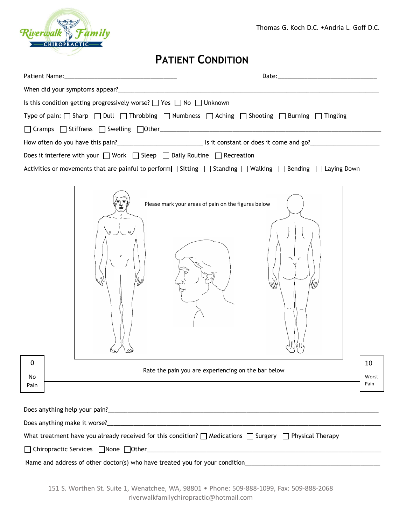Thomas G. Koch D.C. •Andria L. Goff D.C.



## **PATIENT CONDITION**

| Is this condition getting progressively worse? □ Yes □ No □ Unknown                                                                                                                                                              |                                                                                                                             |  |  |  |
|----------------------------------------------------------------------------------------------------------------------------------------------------------------------------------------------------------------------------------|-----------------------------------------------------------------------------------------------------------------------------|--|--|--|
| Type of pain: $\Box$ Sharp $\Box$ Dull $\Box$ Throbbing $\Box$ Numbness $\Box$ Aching $\Box$ Shooting $\Box$ Burning $\Box$ Tingling                                                                                             |                                                                                                                             |  |  |  |
|                                                                                                                                                                                                                                  |                                                                                                                             |  |  |  |
|                                                                                                                                                                                                                                  | How often do you have this pain?<br><u> List</u> constant or does it come and go?<br>List come and go?<br>List come and go? |  |  |  |
| Does it interfere with your □ Work □ Sleep □ Daily Routine □ Recreation                                                                                                                                                          |                                                                                                                             |  |  |  |
|                                                                                                                                                                                                                                  | Activities or movements that are painful to perform Sitting Standing Nalking Suending Suending Sueving Down                 |  |  |  |
|                                                                                                                                                                                                                                  |                                                                                                                             |  |  |  |
|                                                                                                                                                                                                                                  |                                                                                                                             |  |  |  |
|                                                                                                                                                                                                                                  | Please mark your areas of pain on the figures below                                                                         |  |  |  |
|                                                                                                                                                                                                                                  |                                                                                                                             |  |  |  |
|                                                                                                                                                                                                                                  |                                                                                                                             |  |  |  |
|                                                                                                                                                                                                                                  |                                                                                                                             |  |  |  |
|                                                                                                                                                                                                                                  |                                                                                                                             |  |  |  |
|                                                                                                                                                                                                                                  |                                                                                                                             |  |  |  |
|                                                                                                                                                                                                                                  |                                                                                                                             |  |  |  |
|                                                                                                                                                                                                                                  |                                                                                                                             |  |  |  |
|                                                                                                                                                                                                                                  |                                                                                                                             |  |  |  |
|                                                                                                                                                                                                                                  |                                                                                                                             |  |  |  |
|                                                                                                                                                                                                                                  |                                                                                                                             |  |  |  |
| 0                                                                                                                                                                                                                                | 10                                                                                                                          |  |  |  |
| No                                                                                                                                                                                                                               | Rate the pain you are experiencing on the bar below<br>Worst                                                                |  |  |  |
| Pain                                                                                                                                                                                                                             | Pain                                                                                                                        |  |  |  |
|                                                                                                                                                                                                                                  |                                                                                                                             |  |  |  |
| Does anything help your pain?<br>example and the contract of the contract of the contract of the contract of the contract of the contract of the contract of the contract of the contract of the contract of the contract of the |                                                                                                                             |  |  |  |
|                                                                                                                                                                                                                                  |                                                                                                                             |  |  |  |
| What treatment have you already received for this condition? $\Box$ Medications $\Box$ Surgery $\Box$ Physical Therapy                                                                                                           |                                                                                                                             |  |  |  |
| Chiropractic Services □None □Other                                                                                                                                                                                               | <u> 1980 - Johann Barbara, margaret eta idazlearia (h. 1980).</u>                                                           |  |  |  |
| Name and address of other doctor(s) who have treated you for your condition______                                                                                                                                                |                                                                                                                             |  |  |  |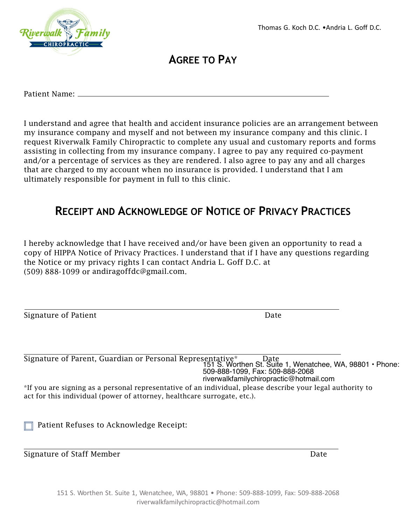

**AGREE TO PAY**

Patient Name:

I understand and agree that health and accident insurance policies are an arrangement between my insurance company and myself and not between my insurance company and this clinic. I request Riverwalk Family Chiropractic to complete any usual and customary reports and forms assisting in collecting from my insurance company. I agree to pay any required co-payment and/or a percentage of services as they are rendered. I also agree to pay any and all charges that are charged to my account when no insurance is provided. I understand that I am ultimately responsible for payment in full to this clinic.

#### **RECEIPT AND ACKNOWLEDGE OF NOTICE OF PRIVACY PRACTICES**

 I hereby acknowledge that I have received and/or have been given an opportunity to read a copy of HIPPA Notice of Privacy Practices. I understand that if I have any questions regarding the Notice or my privacy rights I can contact Andria L. Goff D.C. at  $(509)$  888-1099 or [andiragoffdc@gmail.com](mailto:andiragoffdc@gmail.com).

Signature of Patient Date Date Date

Signature of Parent, Guardian or Personal Representative\* description 151 S. Worthen St. Suite 1, Wenatchee, WA, 98801 • Phone: 509-888-1099, Fax: 509-888-2068 riverwalkfamilychiropractic@hotmail.com

\*If you are signing as a personal representative of an individual, please describe your legal authority to act for this individual (power of attorney, healthcare surrogate, etc.).

Patient Refuses to Acknowledge Receipt:

Signature of Staff Member **Date** Date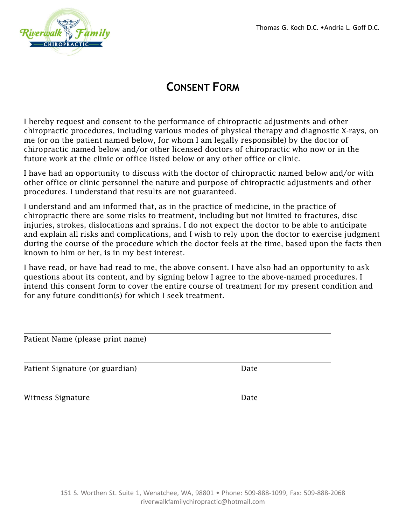

### **CONSENT FORM**

I hereby request and consent to the performance of chiropractic adjustments and other chiropractic procedures, including various modes of physical therapy and diagnostic X-rays, on me (or on the patient named below, for whom I am legally responsible) by the doctor of chiropractic named below and/or other licensed doctors of chiropractic who now or in the future work at the clinic or office listed below or any other office or clinic.

I have had an opportunity to discuss with the doctor of chiropractic named below and/or with other office or clinic personnel the nature and purpose of chiropractic adjustments and other procedures. I understand that results are not guaranteed.

I understand and am informed that, as in the practice of medicine, in the practice of chiropractic there are some risks to treatment, including but not limited to fractures, disc injuries, strokes, dislocations and sprains. I do not expect the doctor to be able to anticipate and explain all risks and complications, and I wish to rely upon the doctor to exercise judgment during the course of the procedure which the doctor feels at the time, based upon the facts then known to him or her, is in my best interest.

I have read, or have had read to me, the above consent. I have also had an opportunity to ask questions about its content, and by signing below I agree to the above-named procedures. I intend this consent form to cover the entire course of treatment for my present condition and for any future condition(s) for which I seek treatment.

| Patient Name (please print name) |      |  |
|----------------------------------|------|--|
| Patient Signature (or guardian)  | Date |  |

Witness Signature **Date**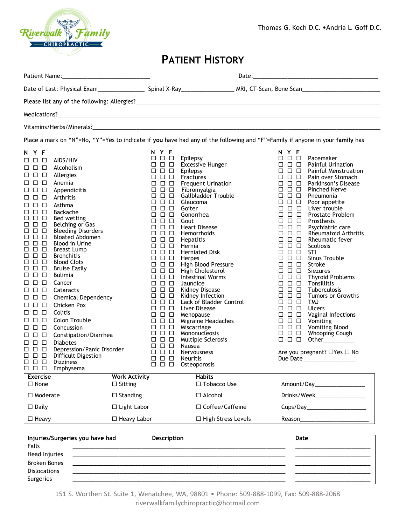

Thomas G. Koch D.C. •Andria L. Goff D.C.

#### **PATIENT HISTORY**

| Place a mark on "N"=No, "Y"=Yes to indicate if you have had any of the following and "F"=Family if anyone in your family has                                                                                                                                                                                                                                                                                                                                                                                                                                                                                                                                                                                                                                                                                                                                                                                                                                                                                                                                                                                                                                                                                                                       |                                                                                                                                                                                                                                                                                                                                                                                                                                                                                                                                                                                                                                                                                                                                                                                                                                                                                                                                                                                                                            |                                                                                                                                                                                                                                                                                                                                                                                                                                                                                                                                                                                           |                                                                                                                                                                                                                                                                                                                                                                                                                                                                                                                                                                                                                                                                                                                                                                                                                                                                                                                                                                                                                                                                                                                                                                                                                                                                                                                                                                                                                                                                                                                           |
|----------------------------------------------------------------------------------------------------------------------------------------------------------------------------------------------------------------------------------------------------------------------------------------------------------------------------------------------------------------------------------------------------------------------------------------------------------------------------------------------------------------------------------------------------------------------------------------------------------------------------------------------------------------------------------------------------------------------------------------------------------------------------------------------------------------------------------------------------------------------------------------------------------------------------------------------------------------------------------------------------------------------------------------------------------------------------------------------------------------------------------------------------------------------------------------------------------------------------------------------------|----------------------------------------------------------------------------------------------------------------------------------------------------------------------------------------------------------------------------------------------------------------------------------------------------------------------------------------------------------------------------------------------------------------------------------------------------------------------------------------------------------------------------------------------------------------------------------------------------------------------------------------------------------------------------------------------------------------------------------------------------------------------------------------------------------------------------------------------------------------------------------------------------------------------------------------------------------------------------------------------------------------------------|-------------------------------------------------------------------------------------------------------------------------------------------------------------------------------------------------------------------------------------------------------------------------------------------------------------------------------------------------------------------------------------------------------------------------------------------------------------------------------------------------------------------------------------------------------------------------------------------|---------------------------------------------------------------------------------------------------------------------------------------------------------------------------------------------------------------------------------------------------------------------------------------------------------------------------------------------------------------------------------------------------------------------------------------------------------------------------------------------------------------------------------------------------------------------------------------------------------------------------------------------------------------------------------------------------------------------------------------------------------------------------------------------------------------------------------------------------------------------------------------------------------------------------------------------------------------------------------------------------------------------------------------------------------------------------------------------------------------------------------------------------------------------------------------------------------------------------------------------------------------------------------------------------------------------------------------------------------------------------------------------------------------------------------------------------------------------------------------------------------------------------|
| N Y F                                                                                                                                                                                                                                                                                                                                                                                                                                                                                                                                                                                                                                                                                                                                                                                                                                                                                                                                                                                                                                                                                                                                                                                                                                              | N Y F                                                                                                                                                                                                                                                                                                                                                                                                                                                                                                                                                                                                                                                                                                                                                                                                                                                                                                                                                                                                                      |                                                                                                                                                                                                                                                                                                                                                                                                                                                                                                                                                                                           | N Y F                                                                                                                                                                                                                                                                                                                                                                                                                                                                                                                                                                                                                                                                                                                                                                                                                                                                                                                                                                                                                                                                                                                                                                                                                                                                                                                                                                                                                                                                                                                     |
| $\Box$ $\Box$<br>AIDS/HIV<br>□<br>$\Box$ $\Box$<br>Alcoholism<br>□<br>$\Box$ $\Box$<br>Allergies<br>□<br>$\Box$<br>$\Box$<br>Anemia<br>□<br>$\Box$ $\Box$<br>Appendicitis<br>□<br>$\Box$ $\Box$<br>Arthritis<br>□<br>$\Box$ $\Box$ $\Box$<br>Asthma<br>$\Box$ $\Box$ $\Box$<br>Backache<br>$\Box$<br>$\Box$ $\Box$<br>Bed wetting<br>$\Box$ $\Box$ $\Box$<br>Belching or Gas<br><b>Bleeding Disorders</b><br>$\Box$ $\Box$ $\Box$<br><b>Bloated Abdomen</b><br>$\Box$ $\Box$ $\Box$<br><b>Blood in Urine</b><br>$\Box$<br>$\Box$ $\Box$<br>$\Box$<br>$\Box$ $\Box$<br><b>Breast Lump</b><br>$\Box$ $\Box$<br>□<br><b>Bronchitis</b><br>$\Box$ $\Box$<br><b>Blood Clots</b><br>□<br>$\Box$<br>$\Box$<br><b>Bruise Easily</b><br>$\Box$<br>$\Box$ $\Box$<br>Bulimia<br>□<br>$\Box$ $\Box$ $\Box$<br>Cancer<br>$\Box$ $\Box$<br>Cataracts<br>□<br><b>Chemical Dependency</b><br>88 8 8<br>$\Box$ $\Box$ $\Box$<br>Chicken Pox<br>8 8 8<br>Colitis<br>Colon Trouble<br>$\Box$ $\Box$<br>□<br>$\Box$ $\Box$<br>Concussion<br>ப<br>$\Box$ $\Box$<br>Constipation/Diarrhea<br>□<br>$\Box$ $\Box$ $\Box$<br><b>Diabetes</b><br>Depression/Panic Disorder<br>$\Box$ $\Box$ $\Box$<br>$\Box$ $\Box$ $\Box$<br>Difficult Digestion<br>000<br><b>Dizziness</b> | $\square$ $\square$ $\square$ Epilepsy<br>$\Box$ $\Box$ $\Box$<br>$\Box$ $\Box$ $\Box$<br>$\begin{array}{c} \square \ \square \ \square \end{array}$<br>$\Box$ $\Box$ $\Box$<br>$\Box$ $\Box$ $\Box$<br>$\Box$ $\Box$ $\Box$<br>$\Box$ $\Box$ $\Box$<br>$\Box$ $\Box$ $\Box$<br>$\Box$ $\Box$ $\Box$<br>$\begin{array}{ccc} \square & \square & \square \end{array}$<br>$\Box$ $\Box$ $\Box$<br>$\Box$ $\Box$ $\Box$<br>$\Box$ $\Box$ $\Box$<br>$\begin{array}{c} \square \ \square \ \square \end{array}$<br>$\Box$ $\Box$ $\Box$<br>$\Box$ $\Box$ $\Box$<br>$\Box$ $\Box$ $\Box$<br>$\Box$ $\Box$ $\Box$<br>$\Box$ $\Box$ $\Box$<br>$\Box$ $\Box$ $\Box$<br>$\Box$ $\Box$ $\Box$<br>$\Box$ $\Box$ $\Box$<br>$\Box$ $\Box$ $\Box$<br>$\Box$ $\Box$ $\Box$<br>$\Box$ $\Box$ $\Box$<br>$\Box$ $\Box$ $\Box$<br>$\Box$ $\Box$ $\Box$<br>$\Box$ $\Box$ $\Box$<br>$\Box$ $\Box$ $\Box$<br>$\Box$ $\Box$ $\Box$<br>$\begin{array}{ccc} \square & \square & \square \end{array}$<br>$\Box$ $\Box$ $\Box$<br>$\Box$ $\Box$ $\Box$ | <b>Excessive Hunger</b><br>Epilepsy<br>Fractures<br><b>Frequent Urination</b><br>Fibromyalgia<br>Gallbladder Trouble<br>Glaucoma<br>Goiter<br>Gonorrhea<br>Gout<br><b>Heart Disease</b><br>Hemorrhoids<br>Hepatitis<br>Hernia<br><b>Herniated Disk</b><br>Herpes<br>High Blood Pressure<br>High Cholesterol<br>Intestinal Worms<br>Jaundice<br>Kidney Disease<br>Kidney Infection<br>Lack of Bladder Control<br>Liver Disease<br>Menopause<br>Migraine Headaches<br>Miscarriage<br>Mononucleosis<br>Multiple Sclerosis<br>Nausea<br><b>Nervousness</b><br><b>Neuritis</b><br>Osteoporosis | $\Box$ $\Box$ $\Box$<br>Pacemaker<br>$\Box$ $\Box$ $\Box$<br><b>Painful Urination</b><br>$\Box$ $\Box$ $\Box$<br>Painful Menstruation<br>$\Box$ $\Box$ $\Box$<br>Pain over Stomach<br>$\Box$ $\Box$ $\Box$<br>Parkinson's Disease<br>$\Box$ $\Box$ $\Box$<br><b>Pinched Nerve</b><br>$\Box$ $\Box$ $\Box$<br>Pneumonia<br>$\Box$ $\Box$ $\Box$<br>Poor appetite<br>$\Box$ $\Box$ $\Box$<br>Liver trouble<br>$\Box$ $\Box$ $\Box$<br><b>Prostate Problem</b><br>$\Box$ $\Box$ $\Box$<br>Prosthesis<br>$\Box$ $\Box$ $\Box$<br>Psychiatric care<br>$\Box$ $\Box$ $\Box$<br><b>Rheumatoid Arthritis</b><br>$\Box$ $\Box$ $\Box$<br>Rheumatic fever<br>$\Box$ $\Box$ $\Box$<br>Scoliosis<br>$\Box$ $\Box$ $\Box$<br>STI<br>$\Box$ $\Box$ $\Box$<br>Sinus Trouble<br>$\begin{array}{ccc} \square & \square & \square \end{array}$<br>Stroke<br>$\Box$ $\Box$ $\Box$<br><b>Siezures</b><br>$\begin{array}{c} \square \ \square \ \square \end{array}$<br><b>Thyroid Problems</b><br>$\Box$ $\Box$ $\Box$<br>Tonsillitis<br>$\begin{array}{c} \square \ \square \ \square \end{array}$<br>Tuberculosis<br>$\Box$ $\Box$ $\Box$<br><b>Tumors or Growths</b><br>$\Box$ $\Box$ $\Box$<br><b>TMJ</b><br>$\begin{array}{c} \square \ \square \ \square \end{array}$<br><b>Ulcers</b><br>$\Box$ $\Box$ $\Box$<br>Vaginal Infections<br>$\Box$ $\Box$ $\Box$<br>Vomiting<br>$\Box$ $\Box$ $\Box$<br>Vomiting Blood<br>$\Box$ $\Box$ $\Box$<br>Whooping Cough<br>$\Box$ $\Box$ $\Box$<br>Other___________<br>Are you pregnant? □Yes □ No |
| $\square$ $\square$ $\square$ Emphysema<br><b>Work Activity</b><br><b>Exercise</b>                                                                                                                                                                                                                                                                                                                                                                                                                                                                                                                                                                                                                                                                                                                                                                                                                                                                                                                                                                                                                                                                                                                                                                 |                                                                                                                                                                                                                                                                                                                                                                                                                                                                                                                                                                                                                                                                                                                                                                                                                                                                                                                                                                                                                            | <b>Habits</b>                                                                                                                                                                                                                                                                                                                                                                                                                                                                                                                                                                             |                                                                                                                                                                                                                                                                                                                                                                                                                                                                                                                                                                                                                                                                                                                                                                                                                                                                                                                                                                                                                                                                                                                                                                                                                                                                                                                                                                                                                                                                                                                           |
| $\Box$ None<br>$\Box$ Sitting                                                                                                                                                                                                                                                                                                                                                                                                                                                                                                                                                                                                                                                                                                                                                                                                                                                                                                                                                                                                                                                                                                                                                                                                                      |                                                                                                                                                                                                                                                                                                                                                                                                                                                                                                                                                                                                                                                                                                                                                                                                                                                                                                                                                                                                                            | □ Tobacco Use                                                                                                                                                                                                                                                                                                                                                                                                                                                                                                                                                                             | Amount/Day 2008                                                                                                                                                                                                                                                                                                                                                                                                                                                                                                                                                                                                                                                                                                                                                                                                                                                                                                                                                                                                                                                                                                                                                                                                                                                                                                                                                                                                                                                                                                           |
| $\Box$ Moderate<br>$\Box$ Standing                                                                                                                                                                                                                                                                                                                                                                                                                                                                                                                                                                                                                                                                                                                                                                                                                                                                                                                                                                                                                                                                                                                                                                                                                 |                                                                                                                                                                                                                                                                                                                                                                                                                                                                                                                                                                                                                                                                                                                                                                                                                                                                                                                                                                                                                            | $\Box$ Alcohol                                                                                                                                                                                                                                                                                                                                                                                                                                                                                                                                                                            | Drinks/Week   Letteral Letteral Letteral Letteral Letteral Letteral Letteral Letteral Letteral Letteral Letteral Letteral Letteral Letteral Letteral Letteral Letteral Letteral Letteral Letteral Letteral Letteral Letteral L                                                                                                                                                                                                                                                                                                                                                                                                                                                                                                                                                                                                                                                                                                                                                                                                                                                                                                                                                                                                                                                                                                                                                                                                                                                                                            |
| $\Box$ Daily<br>$\Box$ Light Labor                                                                                                                                                                                                                                                                                                                                                                                                                                                                                                                                                                                                                                                                                                                                                                                                                                                                                                                                                                                                                                                                                                                                                                                                                 |                                                                                                                                                                                                                                                                                                                                                                                                                                                                                                                                                                                                                                                                                                                                                                                                                                                                                                                                                                                                                            | □ Coffee/Caffeine                                                                                                                                                                                                                                                                                                                                                                                                                                                                                                                                                                         |                                                                                                                                                                                                                                                                                                                                                                                                                                                                                                                                                                                                                                                                                                                                                                                                                                                                                                                                                                                                                                                                                                                                                                                                                                                                                                                                                                                                                                                                                                                           |
| $\Box$ Heavy<br>□ Heavy Labor                                                                                                                                                                                                                                                                                                                                                                                                                                                                                                                                                                                                                                                                                                                                                                                                                                                                                                                                                                                                                                                                                                                                                                                                                      |                                                                                                                                                                                                                                                                                                                                                                                                                                                                                                                                                                                                                                                                                                                                                                                                                                                                                                                                                                                                                            | □ High Stress Levels                                                                                                                                                                                                                                                                                                                                                                                                                                                                                                                                                                      |                                                                                                                                                                                                                                                                                                                                                                                                                                                                                                                                                                                                                                                                                                                                                                                                                                                                                                                                                                                                                                                                                                                                                                                                                                                                                                                                                                                                                                                                                                                           |

|                     | Injuries/Surgeries you have had | Description | Date |
|---------------------|---------------------------------|-------------|------|
| Falls               |                                 |             |      |
| Head Injuries       |                                 |             |      |
| <b>Broken Bones</b> |                                 |             |      |
| <b>Dislocations</b> |                                 |             |      |
| Surgeries           |                                 |             |      |